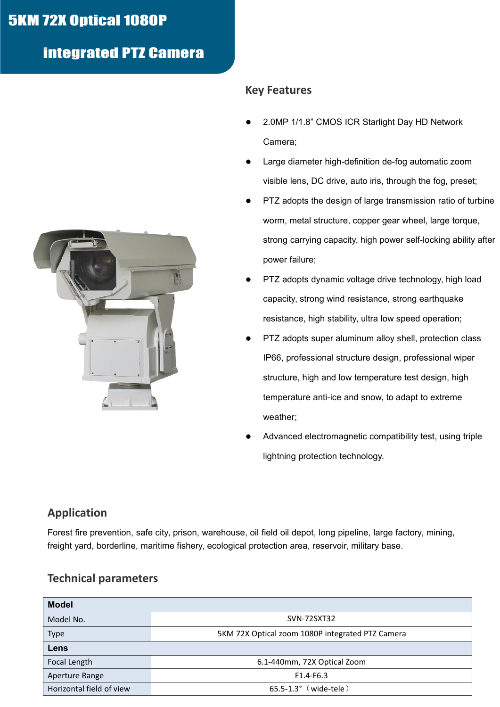# **5KM 72X Optical 1080P**

## integrated PTZ Camera



#### **Key Features**

- 2.0MP 1/1.8" CMOS ICR Starlight Day HD Network Camera;
- Large diameter high-definition de-fog automatic zoom visible lens, DC drive, auto iris, through the fog, preset;
- PTZ adopts the design of large transmission ratio of turbine worm, metal structure, copper gear wheel, large torque, strong carrying capacity, high power self-locking ability after power failure;
- PTZ adopts dynamic voltage drive technology, high load capacity, strong wind resistance, strong earthquake resistance, high stability, ultra low speed operation;
- PTZ adopts super aluminum alloy shell, protection class IP66, professional structure design, professional wiper structure, high and low temperature test design, high temperature anti-ice and snow, to adapt to extreme weather;
- Advanced electromagnetic compatibility test, using triple lightning protection technology.

### **Application**

Forest fire prevention, safe city, prison, warehouse, oil field oil depot, long pipeline, large factory, mining, freight yard, borderline, maritime fishery, ecological protection area, reservoir, military base.

#### **Technical parameters**

| <b>Model</b>             |                                                  |  |
|--------------------------|--------------------------------------------------|--|
| Model No.                | SVN-72SXT32                                      |  |
| <b>Type</b>              | 5KM 72X Optical zoom 1080P integrated PTZ Camera |  |
| Lens                     |                                                  |  |
| Focal Length             | 6.1-440mm, 72X Optical Zoom                      |  |
| Aperture Range           | $F1.4-F6.3$                                      |  |
| Horizontal field of view | 65.5-1.3° (wide-tele)                            |  |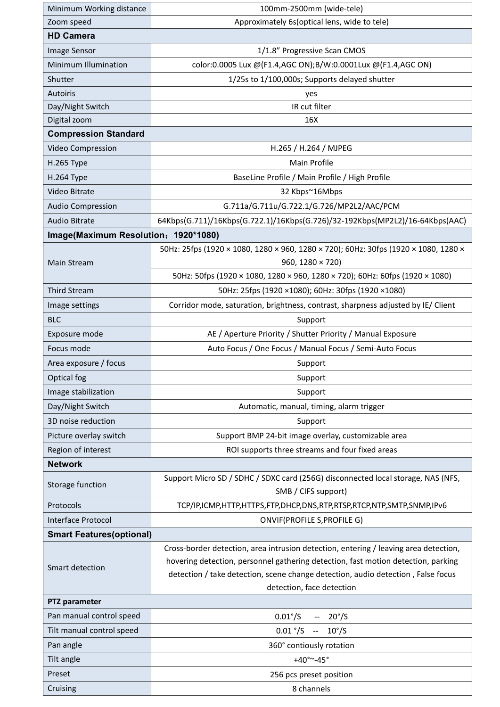| Minimum Working distance             | 100mm-2500mm (wide-tele)                                                                                |
|--------------------------------------|---------------------------------------------------------------------------------------------------------|
| Zoom speed                           | Approximately 6s(optical lens, wide to tele)                                                            |
| <b>HD Camera</b>                     |                                                                                                         |
| Image Sensor                         | 1/1.8" Progressive Scan CMOS                                                                            |
| Minimum Illumination                 | color:0.0005 Lux @(F1.4,AGC ON);B/W:0.0001Lux @(F1.4,AGC ON)                                            |
| Shutter                              | 1/25s to 1/100,000s; Supports delayed shutter                                                           |
| Autoiris                             | yes                                                                                                     |
| Day/Night Switch                     | IR cut filter                                                                                           |
| Digital zoom                         | 16X                                                                                                     |
| <b>Compression Standard</b>          |                                                                                                         |
| Video Compression                    | H.265 / H.264 / MJPEG                                                                                   |
| H.265 Type                           | Main Profile                                                                                            |
| <b>H.264 Type</b>                    | BaseLine Profile / Main Profile / High Profile                                                          |
| Video Bitrate                        | 32 Kbps~16Mbps                                                                                          |
| <b>Audio Compression</b>             | G.711a/G.711u/G.722.1/G.726/MP2L2/AAC/PCM                                                               |
| <b>Audio Bitrate</b>                 | 64Kbps(G.711)/16Kbps(G.722.1)/16Kbps(G.726)/32-192Kbps(MP2L2)/16-64Kbps(AAC)                            |
| Image(Maximum Resolution: 1920*1080) |                                                                                                         |
|                                      | 50Hz: 25fps (1920 × 1080, 1280 × 960, 1280 × 720); 60Hz: 30fps (1920 × 1080, 1280 ×                     |
| Main Stream                          | 960, 1280 $\times$ 720)                                                                                 |
|                                      | 50Hz: 50fps (1920 × 1080, 1280 × 960, 1280 × 720); 60Hz: 60fps (1920 × 1080)                            |
| <b>Third Stream</b>                  | 50Hz: 25fps (1920 ×1080); 60Hz: 30fps (1920 ×1080)                                                      |
| Image settings                       | Corridor mode, saturation, brightness, contrast, sharpness adjusted by IE/ Client                       |
| <b>BLC</b>                           | Support                                                                                                 |
| Exposure mode                        | AE / Aperture Priority / Shutter Priority / Manual Exposure                                             |
| Focus mode                           | Auto Focus / One Focus / Manual Focus / Semi-Auto Focus                                                 |
| Area exposure / focus                | Support                                                                                                 |
| Optical fog                          | Support                                                                                                 |
| Image stabilization                  | Support                                                                                                 |
| Day/Night Switch                     | Automatic, manual, timing, alarm trigger                                                                |
| 3D noise reduction                   | Support                                                                                                 |
| Picture overlay switch               | Support BMP 24-bit image overlay, customizable area                                                     |
| Region of interest                   | ROI supports three streams and four fixed areas                                                         |
| <b>Network</b>                       |                                                                                                         |
| Storage function                     | Support Micro SD / SDHC / SDXC card (256G) disconnected local storage, NAS (NFS,<br>SMB / CIFS support) |
| Protocols                            | TCP/IP,ICMP,HTTP,HTTPS,FTP,DHCP,DNS,RTP,RTSP,RTCP,NTP,SMTP,SNMP,IPv6                                    |
| Interface Protocol                   | ONVIF(PROFILE S, PROFILE G)                                                                             |
| <b>Smart Features(optional)</b>      |                                                                                                         |
|                                      | Cross-border detection, area intrusion detection, entering / leaving area detection,                    |
| Smart detection                      | hovering detection, personnel gathering detection, fast motion detection, parking                       |
|                                      | detection / take detection, scene change detection, audio detection, False focus                        |
|                                      | detection, face detection                                                                               |
| PTZ parameter                        |                                                                                                         |
| Pan manual control speed             | $0.01^{\circ}/S$<br>$20^{\circ}/S$                                                                      |
| Tilt manual control speed            | $0.01$ °/S $- 10$ °/S                                                                                   |
| Pan angle                            | 360° contiously rotation                                                                                |
| Tilt angle                           | $+40^{\circ}$ ~-45°                                                                                     |
| Preset                               | 256 pcs preset position                                                                                 |
| Cruising                             | 8 channels                                                                                              |